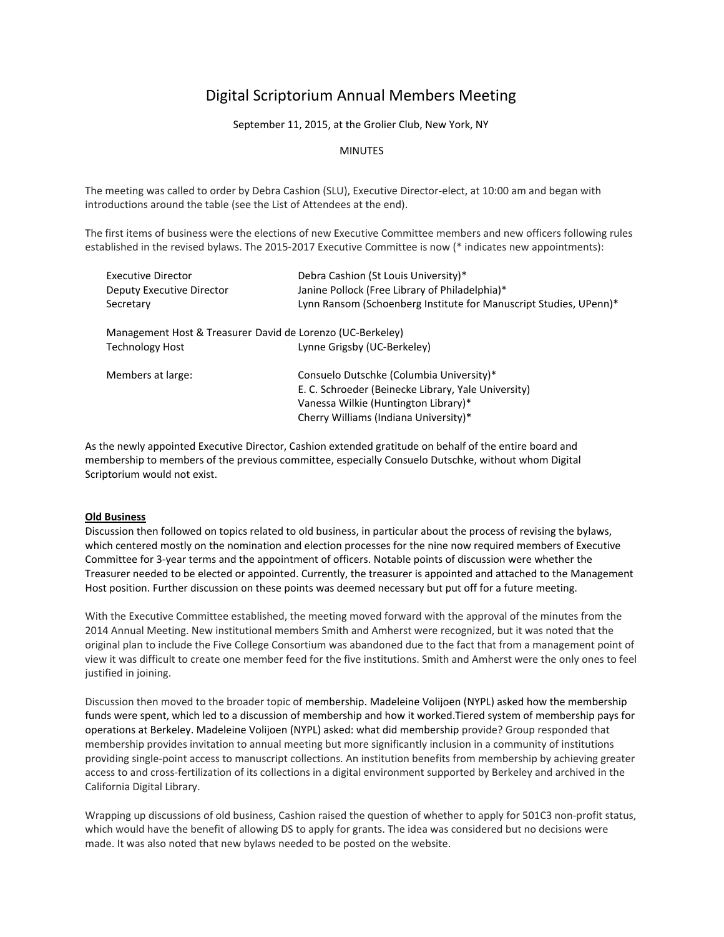# Digital Scriptorium Annual Members Meeting

September 11, 2015, at the Grolier Club, New York, NY

## **MINUTES**

The meeting was called to order by Debra Cashion (SLU), Executive Director‐elect, at 10:00 am and began with introductions around the table (see the List of Attendees at the end).

The first items of business were the elections of new Executive Committee members and new officers following rules established in the revised bylaws. The 2015-2017 Executive Committee is now (\* indicates new appointments):

| Executive Director                                         | Debra Cashion (St Louis University)*                              |
|------------------------------------------------------------|-------------------------------------------------------------------|
| Deputy Executive Director                                  | Janine Pollock (Free Library of Philadelphia)*                    |
| Secretary                                                  | Lynn Ransom (Schoenberg Institute for Manuscript Studies, UPenn)* |
| Management Host & Treasurer David de Lorenzo (UC-Berkeley) |                                                                   |
| <b>Technology Host</b>                                     | Lynne Grigsby (UC-Berkeley)                                       |
| Members at large:                                          | Consuelo Dutschke (Columbia University)*                          |
|                                                            | E. C. Schroeder (Beinecke Library, Yale University)               |
|                                                            | Vanessa Wilkie (Huntington Library)*                              |
|                                                            | Cherry Williams (Indiana University)*                             |

As the newly appointed Executive Director, Cashion extended gratitude on behalf of the entire board and membership to members of the previous committee, especially Consuelo Dutschke, without whom Digital Scriptorium would not exist.

### **Old Business**

Discussion then followed on topics related to old business, in particular about the process of revising the bylaws, which centered mostly on the nomination and election processes for the nine now required members of Executive Committee for 3‐year terms and the appointment of officers. Notable points of discussion were whether the Treasurer needed to be elected or appointed. Currently, the treasurer is appointed and attached to the Management Host position. Further discussion on these points was deemed necessary but put off for a future meeting.

With the Executive Committee established, the meeting moved forward with the approval of the minutes from the 2014 Annual Meeting. New institutional members Smith and Amherst were recognized, but it was noted that the original plan to include the Five College Consortium was abandoned due to the fact that from a management point of view it was difficult to create one member feed for the five institutions. Smith and Amherst were the only ones to feel justified in joining.

Discussion then moved to the broader topic of membership. Madeleine Volijoen (NYPL) asked how the membership funds were spent, which led to a discussion of membership and how it worked.Tiered system of membership pays for operations at Berkeley. Madeleine Volijoen (NYPL) asked: what did membership provide? Group responded that membership provides invitation to annual meeting but more significantly inclusion in a community of institutions providing single‐point access to manuscript collections. An institution benefits from membership by achieving greater access to and cross‐fertilization of its collections in a digital environment supported by Berkeley and archived in the California Digital Library.

Wrapping up discussions of old business, Cashion raised the question of whether to apply for 501C3 non-profit status, which would have the benefit of allowing DS to apply for grants. The idea was considered but no decisions were made. It was also noted that new bylaws needed to be posted on the website.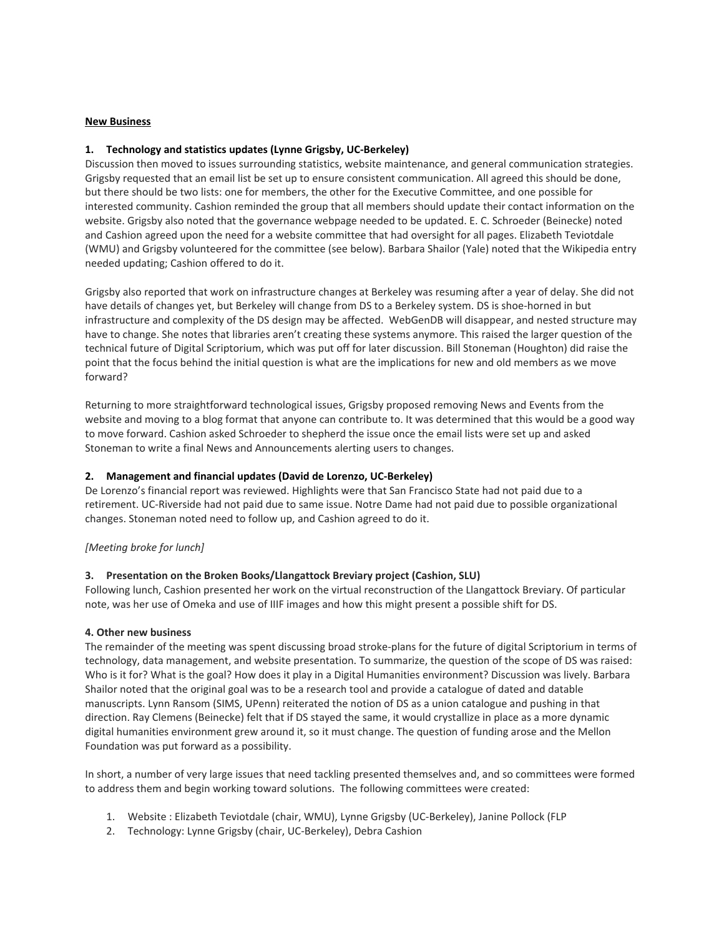#### **New Business**

### **1. Technology and statistics updates (Lynne Grigsby, UC‐Berkeley)**

Discussion then moved to issues surrounding statistics, website maintenance, and general communication strategies. Grigsby requested that an email list be set up to ensure consistent communication. All agreed this should be done, but there should be two lists: one for members, the other for the Executive Committee, and one possible for interested community. Cashion reminded the group that all members should update their contact information on the website. Grigsby also noted that the governance webpage needed to be updated. E. C. Schroeder (Beinecke) noted and Cashion agreed upon the need for a website committee that had oversight for all pages. Elizabeth Teviotdale (WMU) and Grigsby volunteered for the committee (see below). Barbara Shailor (Yale) noted that the Wikipedia entry needed updating; Cashion offered to do it.

Grigsby also reported that work on infrastructure changes at Berkeley was resuming after a year of delay. She did not have details of changes yet, but Berkeley will change from DS to a Berkeley system. DS is shoe-horned in but infrastructure and complexity of the DS design may be affected. WebGenDB will disappear, and nested structure may have to change. She notes that libraries aren't creating these systems anymore. This raised the larger question of the technical future of Digital Scriptorium, which was put off for later discussion. Bill Stoneman (Houghton) did raise the point that the focus behind the initial question is what are the implications for new and old members as we move forward?

Returning to more straightforward technological issues, Grigsby proposed removing News and Events from the website and moving to a blog format that anyone can contribute to. It was determined that this would be a good way to move forward. Cashion asked Schroeder to shepherd the issue once the email lists were set up and asked Stoneman to write a final News and Announcements alerting users to changes.

### **2. Management and financial updates (David de Lorenzo, UC‐Berkeley)**

De Lorenzo's financial report was reviewed. Highlights were that San Francisco State had not paid due to a retirement. UC‐Riverside had not paid due to same issue. Notre Dame had not paid due to possible organizational changes. Stoneman noted need to follow up, and Cashion agreed to do it.

### *[Meeting broke for lunch]*

### **3. Presentation on the Broken Books/Llangattock Breviary project (Cashion, SLU)**

Following lunch, Cashion presented her work on the virtual reconstruction of the Llangattock Breviary. Of particular note, was her use of Omeka and use of IIIF images and how this might present a possible shift for DS.

### **4. Other new business**

The remainder of the meeting was spent discussing broad stroke-plans for the future of digital Scriptorium in terms of technology, data management, and website presentation. To summarize, the question of the scope of DS was raised: Who is it for? What is the goal? How does it play in a Digital Humanities environment? Discussion was lively. Barbara Shailor noted that the original goal was to be a research tool and provide a catalogue of dated and datable manuscripts. Lynn Ransom (SIMS, UPenn) reiterated the notion of DS as a union catalogue and pushing in that direction. Ray Clemens (Beinecke) felt that if DS stayed the same, it would crystallize in place as a more dynamic digital humanities environment grew around it, so it must change. The question of funding arose and the Mellon Foundation was put forward as a possibility.

In short, a number of very large issues that need tackling presented themselves and, and so committees were formed to address them and begin working toward solutions. The following committees were created:

- 1. Website : Elizabeth Teviotdale (chair, WMU), Lynne Grigsby (UC‐Berkeley), Janine Pollock (FLP
- 2. Technology: Lynne Grigsby (chair, UC‐Berkeley), Debra Cashion